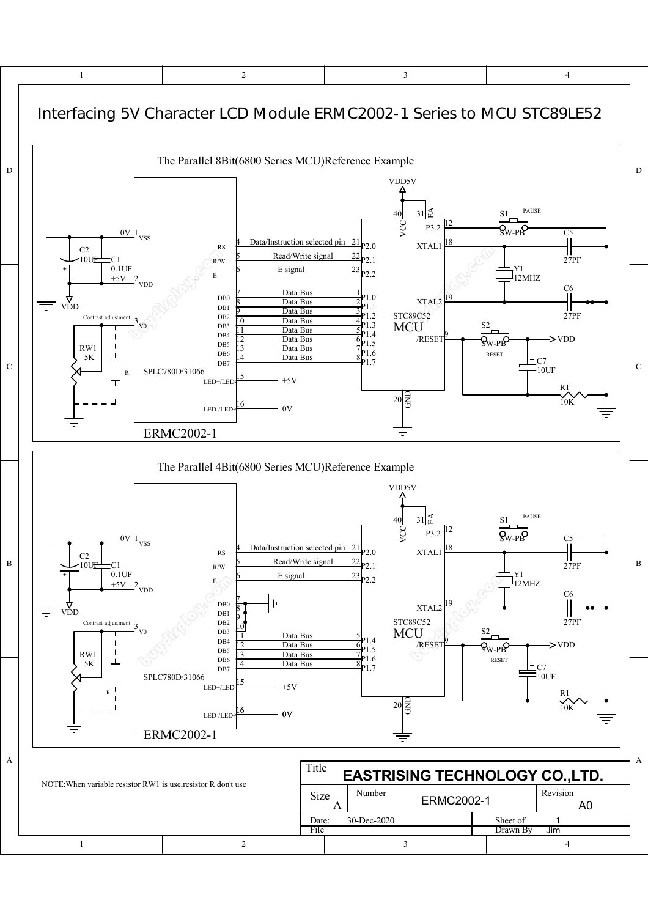